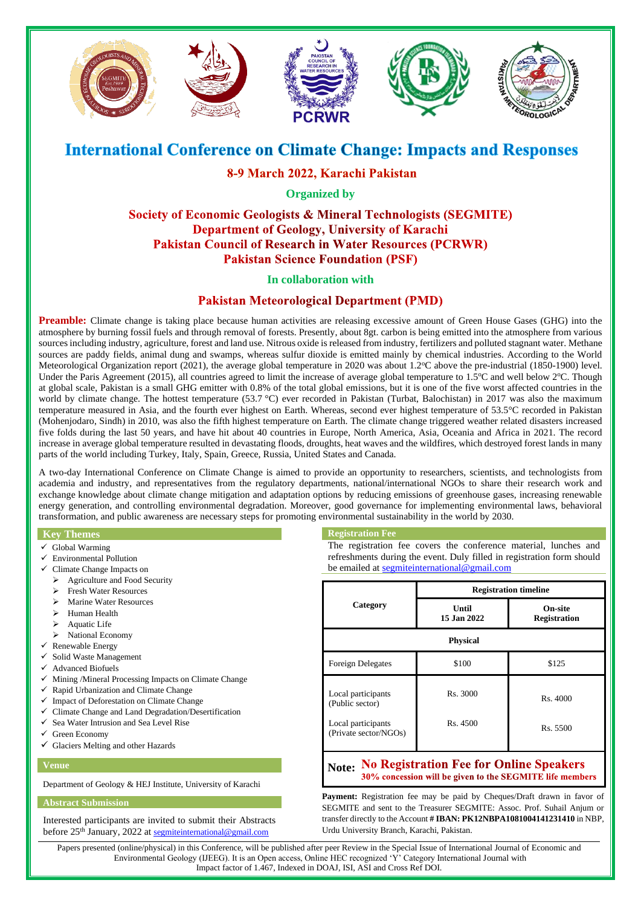

# **International Conference on Climate Change: Impacts and Responses**

# 8-9 March 2022, Karachi Pakistan

**Organized by** 

## Society of Economic Geologists & Mineral Technologists (SEGMITE) **Department of Geology, University of Karachi Pakistan Council of Research in Water Resources (PCRWR) Pakistan Science Foundation (PSF)**

### **In collaboration with**

### **Pakistan Meteorological Department (PMD)**

**Preamble:** Climate change is taking place because human activities are releasing excessive amount of Green House Gases (GHG) into the atmosphere by burning fossil fuels and through removal of forests. Presently, about 8gt. carbon is being emitted into the atmosphere from various sources including industry, agriculture, forest and land use. Nitrous oxide is released from industry, fertilizers and polluted stagnant water. Methane sources are paddy fields, animal dung and swamps, whereas sulfur dioxide is emitted mainly by chemical industries. According to the World Meteorological Organization report (2021), the average global temperature in 2020 was about  $1.2^{\circ}$ C above the pre-industrial (1850-1900) level. Under the Paris Agreement (2015), all countries agreed to limit the increase of average global temperature to  $1.5^{\circ}$ C and well below  $2^{\circ}$ C. Though at global scale, Pakistan is a small GHG emitter with 0.8% of the total global emissions, but it is one of the five worst affected countries in the world by climate change. The hottest temperature (53.7 °C) ever recorded in Pakistan (Turbat, Balochistan) in 2017 was also the maximum temperature measured in Asia, and the fourth ever highest on Earth. Whereas, second ever highest temperature of 53.5°C recorded in Pakistan (Mohenjodaro, Sindh) in 2010, was also the fifth highest temperature on Earth. The climate change triggered weather related disasters increased five folds during the last 50 years, and have hit about 40 countries in Europe, North America, Asia, Oceania and Africa in 2021. The record increase in average global temperature resulted in devastating floods, droughts, heat waves and the wildfires, which destroyed forest lands in many parts of the world including Turkey, Italy, Spain, Greece, Russia, United States and Canada.

A two-day International Conference on Climate Change is aimed to provide an opportunity to researchers, scientists, and technologists from academia and industry, and representatives from the regulatory departments, national/international NGOs to share their research work and exchange knowledge about climate change mitigation and adaptation options by reducing emissions of greenhouse gases, increasing renewable energy generation, and controlling environmental degradation. Moreover, good governance for implementing environmental laws, behavioral transformation, and public awareness are necessary steps for promoting environmental sustainability in the world by 2030.

### **Key Themes**

- ✓ Global Warming
- ✓ Environmental Pollution
- Climate Change Impacts on
- ➢ Agriculture and Food Security
- ➢ Fresh Water Resources
- ➢ Marine Water Resources
- ➢ Human Health
- ➢ Aquatic Life
- ➢ National Economy
- Renewable Energy
- Solid Waste Management
- ✓ Advanced Biofuels
- Mining /Mineral Processing Impacts on Climate Change
- ✓ Rapid Urbanization and Climate Change
- Impact of Deforestation on Climate Change
- Climate Change and Land Degradation/Desertification
- ✓ Sea Water Intrusion and Sea Level Rise
- Green Economy
- ✓ Glaciers Melting and other Hazards

#### **Venue**

Department of Geology & HEJ Institute, University of Karachi

#### **Abstract Submission**

Interested participants are invited to submit their Abstracts before 25<sup>th</sup> January, 2022 at [segmiteinternational@gmail.com](mailto:segmiteinternational@gmail.com)

#### **Registration Fee**

The registration fee covers the conference material, lunches and refreshments during the event. Duly filled in registration form should be emailed at [segmiteinternational@gmail.com](mailto:segmiteinternational@gmail.com)

| Category                                    | <b>Registration timeline</b> |                                |
|---------------------------------------------|------------------------------|--------------------------------|
|                                             | Until<br>15 Jan 2022         | On-site<br><b>Registration</b> |
| <b>Physical</b>                             |                              |                                |
| <b>Foreign Delegates</b>                    | \$100                        | \$125                          |
| Local participants<br>(Public sector)       | Rs. 3000                     | Rs. 4000                       |
| Local participants<br>(Private sector/NGOs) | Rs. 4500                     | Rs. 5500                       |

#### **Note: No Registration Fee for Online Speakers** 30% concession will be given to the SEGMITE life members

Payment: Registration fee may be paid by Cheques/Draft drawn in favor of SEGMITE and sent to the Treasurer SEGMITE: Assoc. Prof. Suhail Anjum or transfer directly to the Account **# IBAN: PK12NBPA1081004141231410** in NBP, Urdu University Branch, Karachi, Pakistan.

Papers presented (online/physical) in this Conference, will be published after peer Review in the Special Issue of International Journal of Economic and Environmental Geology (IJEEG). It is an Open access, Online HEC recognized 'Y' Category International Journal with Impact factor of 1.467, Indexed in DOAJ, ISI, ASI and Cross Ref DOI.